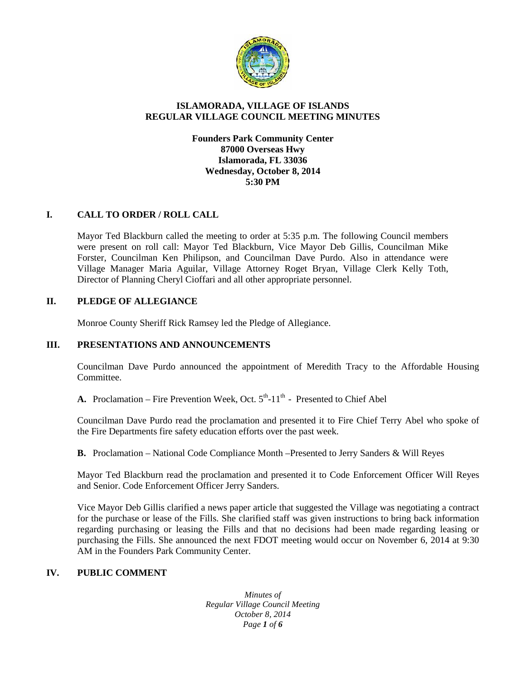

# **ISLAMORADA, VILLAGE OF ISLANDS REGULAR VILLAGE COUNCIL MEETING MINUTES**

**Founders Park Community Center 87000 Overseas Hwy Islamorada, FL 33036 Wednesday, October 8, 2014 5:30 PM**

# **I. CALL TO ORDER / ROLL CALL**

Mayor Ted Blackburn called the meeting to order at 5:35 p.m. The following Council members were present on roll call: Mayor Ted Blackburn, Vice Mayor Deb Gillis, Councilman Mike Forster, Councilman Ken Philipson, and Councilman Dave Purdo. Also in attendance were Village Manager Maria Aguilar, Village Attorney Roget Bryan, Village Clerk Kelly Toth, Director of Planning Cheryl Cioffari and all other appropriate personnel.

## **II. PLEDGE OF ALLEGIANCE**

Monroe County Sheriff Rick Ramsey led the Pledge of Allegiance.

## **III. PRESENTATIONS AND ANNOUNCEMENTS**

Councilman Dave Purdo announced the appointment of Meredith Tracy to the Affordable Housing Committee.

**A.** Proclamation – Fire Prevention Week, Oct.  $5<sup>th</sup>$ -11<sup>th</sup> - Presented to Chief Abel

Councilman Dave Purdo read the proclamation and presented it to Fire Chief Terry Abel who spoke of the Fire Departments fire safety education efforts over the past week.

**B.** Proclamation – National Code Compliance Month –Presented to Jerry Sanders & Will Reyes

Mayor Ted Blackburn read the proclamation and presented it to Code Enforcement Officer Will Reyes and Senior. Code Enforcement Officer Jerry Sanders.

Vice Mayor Deb Gillis clarified a news paper article that suggested the Village was negotiating a contract for the purchase or lease of the Fills. She clarified staff was given instructions to bring back information regarding purchasing or leasing the Fills and that no decisions had been made regarding leasing or purchasing the Fills. She announced the next FDOT meeting would occur on November 6, 2014 at 9:30 AM in the Founders Park Community Center.

# **IV. PUBLIC COMMENT**

*Minutes of Regular Village Council Meeting October 8, 2014 Page 1 of 6*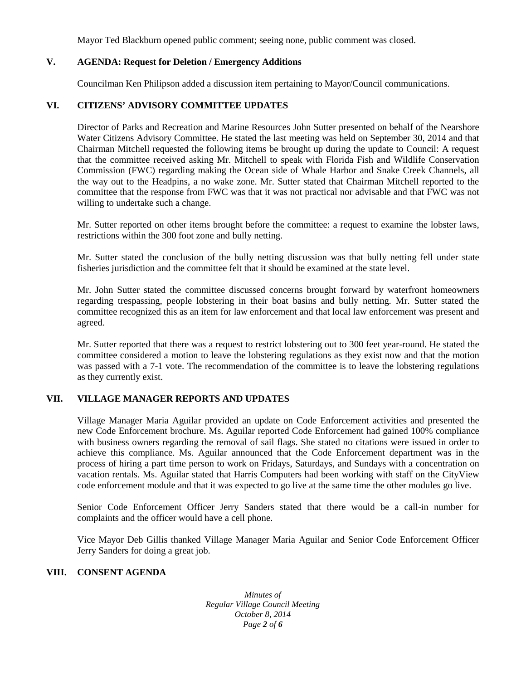Mayor Ted Blackburn opened public comment; seeing none, public comment was closed.

## **V. AGENDA: Request for Deletion / Emergency Additions**

Councilman Ken Philipson added a discussion item pertaining to Mayor/Council communications.

# **VI. CITIZENS' ADVISORY COMMITTEE UPDATES**

Director of Parks and Recreation and Marine Resources John Sutter presented on behalf of the Nearshore Water Citizens Advisory Committee. He stated the last meeting was held on September 30, 2014 and that Chairman Mitchell requested the following items be brought up during the update to Council: A request that the committee received asking Mr. Mitchell to speak with Florida Fish and Wildlife Conservation Commission (FWC) regarding making the Ocean side of Whale Harbor and Snake Creek Channels, all the way out to the Headpins, a no wake zone. Mr. Sutter stated that Chairman Mitchell reported to the committee that the response from FWC was that it was not practical nor advisable and that FWC was not willing to undertake such a change.

Mr. Sutter reported on other items brought before the committee: a request to examine the lobster laws, restrictions within the 300 foot zone and bully netting.

Mr. Sutter stated the conclusion of the bully netting discussion was that bully netting fell under state fisheries jurisdiction and the committee felt that it should be examined at the state level.

Mr. John Sutter stated the committee discussed concerns brought forward by waterfront homeowners regarding trespassing, people lobstering in their boat basins and bully netting. Mr. Sutter stated the committee recognized this as an item for law enforcement and that local law enforcement was present and agreed.

Mr. Sutter reported that there was a request to restrict lobstering out to 300 feet year-round. He stated the committee considered a motion to leave the lobstering regulations as they exist now and that the motion was passed with a 7-1 vote. The recommendation of the committee is to leave the lobstering regulations as they currently exist.

# **VII. VILLAGE MANAGER REPORTS AND UPDATES**

Village Manager Maria Aguilar provided an update on Code Enforcement activities and presented the new Code Enforcement brochure. Ms. Aguilar reported Code Enforcement had gained 100% compliance with business owners regarding the removal of sail flags. She stated no citations were issued in order to achieve this compliance. Ms. Aguilar announced that the Code Enforcement department was in the process of hiring a part time person to work on Fridays, Saturdays, and Sundays with a concentration on vacation rentals. Ms. Aguilar stated that Harris Computers had been working with staff on the CityView code enforcement module and that it was expected to go live at the same time the other modules go live.

Senior Code Enforcement Officer Jerry Sanders stated that there would be a call-in number for complaints and the officer would have a cell phone.

Vice Mayor Deb Gillis thanked Village Manager Maria Aguilar and Senior Code Enforcement Officer Jerry Sanders for doing a great job.

## **VIII. CONSENT AGENDA**

*Minutes of Regular Village Council Meeting October 8, 2014 Page 2 of 6*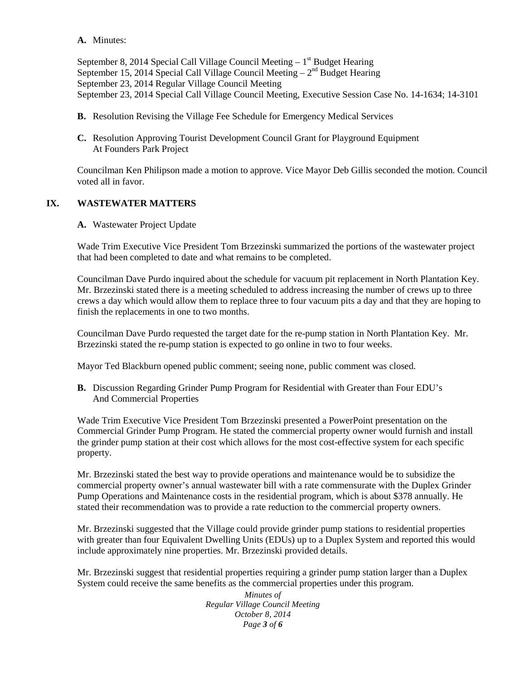**A.** Minutes:

September 8, 2014 Special Call Village Council Meeting – 1<sup>st</sup> Budget Hearing September 15, 2014 Special Call Village Council Meeting  $-2<sup>nd</sup>$  Budget Hearing September 23, 2014 Regular Village Council Meeting September 23, 2014 Special Call Village Council Meeting, Executive Session Case No. 14-1634; 14-3101

- **B.** Resolution Revising the Village Fee Schedule for Emergency Medical Services
- **C.** Resolution Approving Tourist Development Council Grant for Playground Equipment At Founders Park Project

Councilman Ken Philipson made a motion to approve. Vice Mayor Deb Gillis seconded the motion. Council voted all in favor.

# **IX. WASTEWATER MATTERS**

**A.** Wastewater Project Update

Wade Trim Executive Vice President Tom Brzezinski summarized the portions of the wastewater project that had been completed to date and what remains to be completed.

Councilman Dave Purdo inquired about the schedule for vacuum pit replacement in North Plantation Key. Mr. Brzezinski stated there is a meeting scheduled to address increasing the number of crews up to three crews a day which would allow them to replace three to four vacuum pits a day and that they are hoping to finish the replacements in one to two months.

Councilman Dave Purdo requested the target date for the re-pump station in North Plantation Key. Mr. Brzezinski stated the re-pump station is expected to go online in two to four weeks.

Mayor Ted Blackburn opened public comment; seeing none, public comment was closed.

**B.** Discussion Regarding Grinder Pump Program for Residential with Greater than Four EDU's And Commercial Properties

Wade Trim Executive Vice President Tom Brzezinski presented a PowerPoint presentation on the Commercial Grinder Pump Program. He stated the commercial property owner would furnish and install the grinder pump station at their cost which allows for the most cost-effective system for each specific property.

Mr. Brzezinski stated the best way to provide operations and maintenance would be to subsidize the commercial property owner's annual wastewater bill with a rate commensurate with the Duplex Grinder Pump Operations and Maintenance costs in the residential program, which is about \$378 annually. He stated their recommendation was to provide a rate reduction to the commercial property owners.

Mr. Brzezinski suggested that the Village could provide grinder pump stations to residential properties with greater than four Equivalent Dwelling Units (EDUs) up to a Duplex System and reported this would include approximately nine properties. Mr. Brzezinski provided details.

Mr. Brzezinski suggest that residential properties requiring a grinder pump station larger than a Duplex System could receive the same benefits as the commercial properties under this program.

> *Minutes of Regular Village Council Meeting October 8, 2014 Page 3 of 6*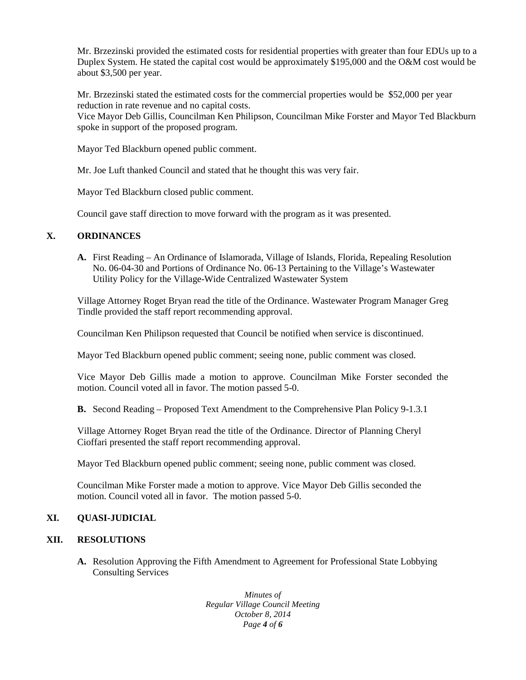Mr. Brzezinski provided the estimated costs for residential properties with greater than four EDUs up to a Duplex System. He stated the capital cost would be approximately \$195,000 and the O&M cost would be about \$3,500 per year.

Mr. Brzezinski stated the estimated costs for the commercial properties would be \$52,000 per year reduction in rate revenue and no capital costs.

Vice Mayor Deb Gillis, Councilman Ken Philipson, Councilman Mike Forster and Mayor Ted Blackburn spoke in support of the proposed program.

Mayor Ted Blackburn opened public comment.

Mr. Joe Luft thanked Council and stated that he thought this was very fair.

Mayor Ted Blackburn closed public comment.

Council gave staff direction to move forward with the program as it was presented.

## **X. ORDINANCES**

**A.** First Reading – An Ordinance of Islamorada, Village of Islands, Florida, Repealing Resolution No. 06-04-30 and Portions of Ordinance No. 06-13 Pertaining to the Village's Wastewater Utility Policy for the Village-Wide Centralized Wastewater System

Village Attorney Roget Bryan read the title of the Ordinance. Wastewater Program Manager Greg Tindle provided the staff report recommending approval.

Councilman Ken Philipson requested that Council be notified when service is discontinued.

Mayor Ted Blackburn opened public comment; seeing none, public comment was closed.

Vice Mayor Deb Gillis made a motion to approve. Councilman Mike Forster seconded the motion. Council voted all in favor. The motion passed 5-0.

**B.** Second Reading – Proposed Text Amendment to the Comprehensive Plan Policy 9-1.3.1

Village Attorney Roget Bryan read the title of the Ordinance. Director of Planning Cheryl Cioffari presented the staff report recommending approval.

Mayor Ted Blackburn opened public comment; seeing none, public comment was closed.

Councilman Mike Forster made a motion to approve. Vice Mayor Deb Gillis seconded the motion. Council voted all in favor. The motion passed 5-0.

## **XI. QUASI-JUDICIAL**

## **XII. RESOLUTIONS**

**A.** Resolution Approving the Fifth Amendment to Agreement for Professional State Lobbying Consulting Services

> *Minutes of Regular Village Council Meeting October 8, 2014 Page 4 of 6*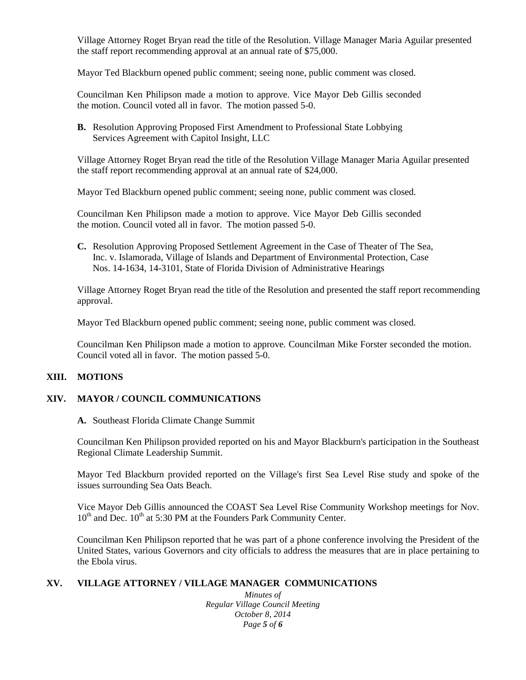Village Attorney Roget Bryan read the title of the Resolution. Village Manager Maria Aguilar presented the staff report recommending approval at an annual rate of \$75,000.

Mayor Ted Blackburn opened public comment; seeing none, public comment was closed.

Councilman Ken Philipson made a motion to approve. Vice Mayor Deb Gillis seconded the motion. Council voted all in favor. The motion passed 5-0.

**B.** Resolution Approving Proposed First Amendment to Professional State Lobbying Services Agreement with Capitol Insight, LLC

Village Attorney Roget Bryan read the title of the Resolution Village Manager Maria Aguilar presented the staff report recommending approval at an annual rate of \$24,000.

Mayor Ted Blackburn opened public comment; seeing none, public comment was closed.

Councilman Ken Philipson made a motion to approve. Vice Mayor Deb Gillis seconded the motion. Council voted all in favor. The motion passed 5-0.

**C.** Resolution Approving Proposed Settlement Agreement in the Case of Theater of The Sea, Inc. v. Islamorada, Village of Islands and Department of Environmental Protection, Case Nos. 14-1634, 14-3101, State of Florida Division of Administrative Hearings

Village Attorney Roget Bryan read the title of the Resolution and presented the staff report recommending approval.

Mayor Ted Blackburn opened public comment; seeing none, public comment was closed.

Councilman Ken Philipson made a motion to approve. Councilman Mike Forster seconded the motion. Council voted all in favor. The motion passed 5-0.

## **XIII. MOTIONS**

## **XIV. MAYOR / COUNCIL COMMUNICATIONS**

### **A.** Southeast Florida Climate Change Summit

Councilman Ken Philipson provided reported on his and Mayor Blackburn's participation in the Southeast Regional Climate Leadership Summit.

Mayor Ted Blackburn provided reported on the Village's first Sea Level Rise study and spoke of the issues surrounding Sea Oats Beach.

Vice Mayor Deb Gillis announced the COAST Sea Level Rise Community Workshop meetings for Nov.  $10^{th}$  and Dec.  $10^{th}$  at 5:30 PM at the Founders Park Community Center.

Councilman Ken Philipson reported that he was part of a phone conference involving the President of the United States, various Governors and city officials to address the measures that are in place pertaining to the Ebola virus.

## **XV. VILLAGE ATTORNEY / VILLAGE MANAGER COMMUNICATIONS**

*Minutes of Regular Village Council Meeting October 8, 2014 Page 5 of 6*